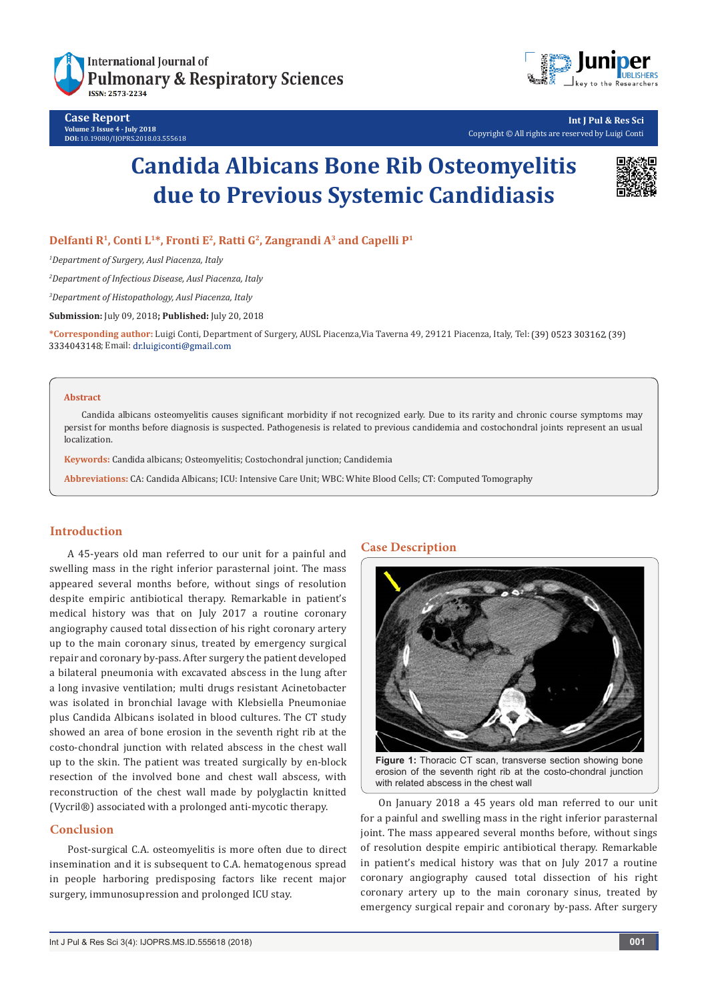



**Int J Pul & Res Sci** Copyright © All rights are reserved by Luigi Conti

# **Candida Albicans Bone Rib Osteomyelitis due to Previous Systemic Candidiasis**



# **Delfanti R1, Conti L1\*, Fronti E2, Ratti G2, Zangrandi A3 and Capelli P1**

*1 Department of Surgery, Ausl Piacenza, Italy*

*2 Department of Infectious Disease, Ausl Piacenza, Italy*

*3 Department of Histopathology, Ausl Piacenza, Italy*

**Submission:** July 09, 2018**; Published:** July 20, 2018

**\*Corresponding author:** Luigi Conti, Department of Surgery, AUSL Piacenza,Via Taverna 49, 29121 Piacenza, Italy, Tel: , 3334043148; Email: dr.luigiconti@gmail.com

#### **Abstract**

Candida albicans osteomyelitis causes significant morbidity if not recognized early. Due to its rarity and chronic course symptoms may persist for months before diagnosis is suspected. Pathogenesis is related to previous candidemia and costochondral joints represent an usual localization.

**Keywords:** Candida albicans; Osteomyelitis; Costochondral junction; Candidemia

**Abbreviations:** CA: Candida Albicans; ICU: Intensive Care Unit; WBC: White Blood Cells; CT: Computed Tomography

## **Introduction**

A 45-years old man referred to our unit for a painful and swelling mass in the right inferior parasternal joint. The mass appeared several months before, without sings of resolution despite empiric antibiotical therapy. Remarkable in patient's medical history was that on July 2017 a routine coronary angiography caused total dissection of his right coronary artery up to the main coronary sinus, treated by emergency surgical repair and coronary by-pass. After surgery the patient developed a bilateral pneumonia with excavated abscess in the lung after a long invasive ventilation; multi drugs resistant Acinetobacter was isolated in bronchial lavage with Klebsiella Pneumoniae plus Candida Albicans isolated in blood cultures. The CT study showed an area of bone erosion in the seventh right rib at the costo-chondral junction with related abscess in the chest wall up to the skin. The patient was treated surgically by en-block resection of the involved bone and chest wall abscess, with reconstruction of the chest wall made by polyglactin knitted (Vycril®) associated with a prolonged anti-mycotic therapy.

## **Conclusion**

Post-surgical C.A. osteomyelitis is more often due to direct insemination and it is subsequent to C.A. hematogenous spread in people harboring predisposing factors like recent major surgery, immunosupression and prolonged ICU stay.

## **Case Description**



**Figure 1:** Thoracic CT scan, transverse section showing bone erosion of the seventh right rib at the costo-chondral junction with related abscess in the chest wall

On January 2018 a 45 years old man referred to our unit for a painful and swelling mass in the right inferior parasternal joint. The mass appeared several months before, without sings of resolution despite empiric antibiotical therapy. Remarkable in patient's medical history was that on July 2017 a routine coronary angiography caused total dissection of his right coronary artery up to the main coronary sinus, treated by emergency surgical repair and coronary by-pass. After surgery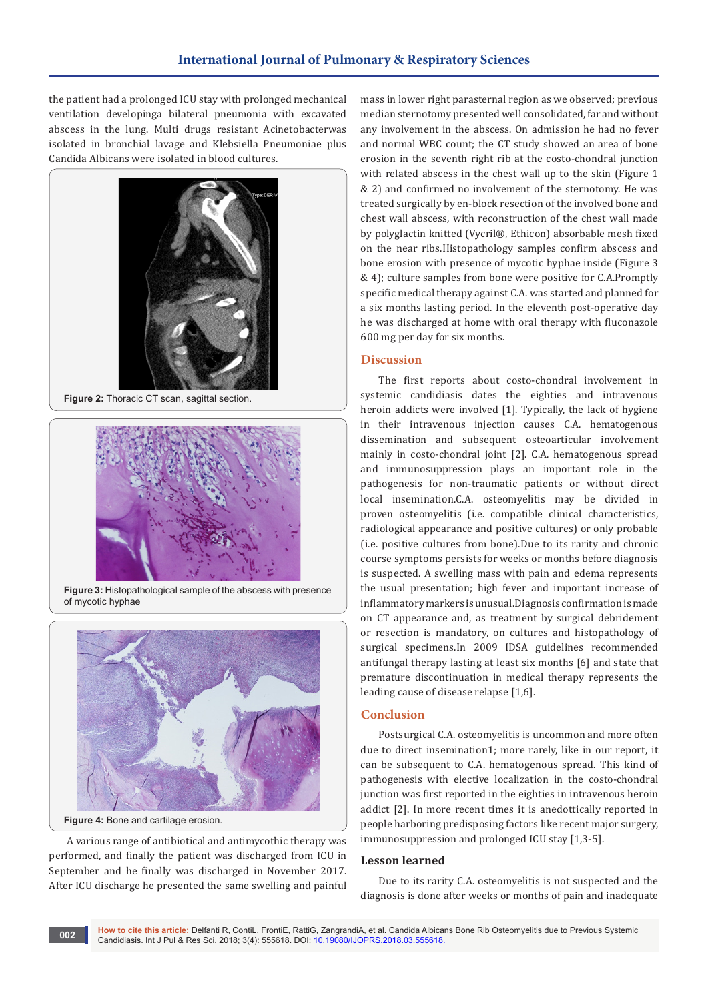the patient had a prolonged ICU stay with prolonged mechanical ventilation developinga bilateral pneumonia with excavated abscess in the lung. Multi drugs resistant Acinetobacterwas isolated in bronchial lavage and Klebsiella Pneumoniae plus Candida Albicans were isolated in blood cultures.



**Figure 2:** Thoracic CT scan, sagittal section.



**Figure 3:** Histopathological sample of the abscess with presence of mycotic hyphae



**Figure 4:** Bone and cartilage erosion.

A various range of antibiotical and antimycothic therapy was performed, and finally the patient was discharged from ICU in September and he finally was discharged in November 2017. After ICU discharge he presented the same swelling and painful mass in lower right parasternal region as we observed; previous median sternotomy presented well consolidated, far and without any involvement in the abscess. On admission he had no fever and normal WBC count; the CT study showed an area of bone erosion in the seventh right rib at the costo-chondral junction with related abscess in the chest wall up to the skin (Figure 1 & 2) and confirmed no involvement of the sternotomy. He was treated surgically by en-block resection of the involved bone and chest wall abscess, with reconstruction of the chest wall made by polyglactin knitted (Vycril®, Ethicon) absorbable mesh fixed on the near ribs.Histopathology samples confirm abscess and bone erosion with presence of mycotic hyphae inside (Figure 3 & 4); culture samples from bone were positive for C.A.Promptly specific medical therapy against C.A. was started and planned for a six months lasting period. In the eleventh post-operative day he was discharged at home with oral therapy with fluconazole 600 mg per day for six months.

#### **Discussion**

The first reports about costo-chondral involvement in systemic candidiasis dates the eighties and intravenous heroin addicts were involved [1]. Typically, the lack of hygiene in their intravenous injection causes C.A. hematogenous dissemination and subsequent osteoarticular involvement mainly in costo-chondral joint [2]. C.A. hematogenous spread and immunosuppression plays an important role in the pathogenesis for non-traumatic patients or without direct local insemination.C.A. osteomyelitis may be divided in proven osteomyelitis (i.e. compatible clinical characteristics, radiological appearance and positive cultures) or only probable (i.e. positive cultures from bone).Due to its rarity and chronic course symptoms persists for weeks or months before diagnosis is suspected. A swelling mass with pain and edema represents the usual presentation; high fever and important increase of inflammatory markers is unusual.Diagnosis confirmation is made on CT appearance and, as treatment by surgical debridement or resection is mandatory, on cultures and histopathology of surgical specimens.In 2009 IDSA guidelines recommended antifungal therapy lasting at least six months [6] and state that premature discontinuation in medical therapy represents the leading cause of disease relapse [1,6].

#### **Conclusion**

Postsurgical C.A. osteomyelitis is uncommon and more often due to direct insemination1; more rarely, like in our report, it can be subsequent to C.A. hematogenous spread. This kind of pathogenesis with elective localization in the costo-chondral junction was first reported in the eighties in intravenous heroin addict [2]. In more recent times it is anedottically reported in people harboring predisposing factors like recent major surgery, immunosuppression and prolonged ICU stay [1,3-5].

#### **Lesson learned**

Due to its rarity C.A. osteomyelitis is not suspected and the diagnosis is done after weeks or months of pain and inadequate